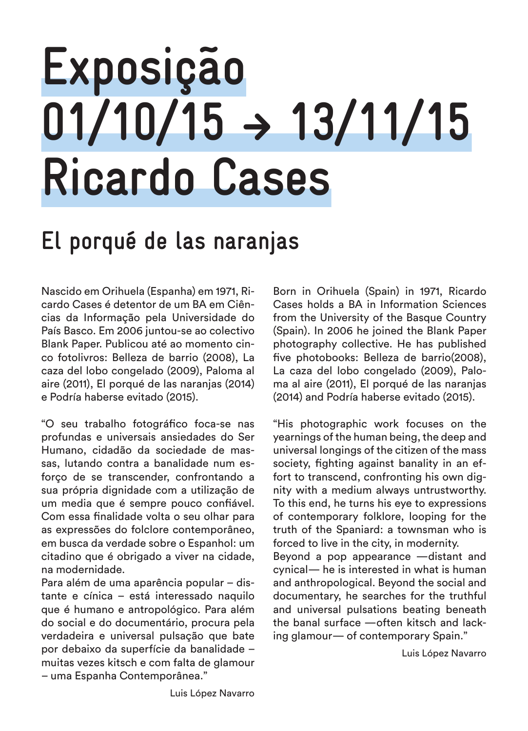# **Exposição 01/10/15 � 13/11/15 Ricardo Cases**

## **El porqué de las naranjas**

Nascido em Orihuela (Espanha) em 1971, Ricardo Cases é detentor de um BA em Ciências da Informação pela Universidade do País Basco. Em 2006 juntou-se ao colectivo Blank Paper. Publicou até ao momento cinco fotolivros: Belleza de barrio (2008), La caza del lobo congelado (2009), Paloma al aire (2011), El porqué de las naranjas (2014) e Podría haberse evitado (2015).

"O seu trabalho fotográfico foca-se nas profundas e universais ansiedades do Ser Humano, cidadão da sociedade de massas, lutando contra a banalidade num esforço de se transcender, confrontando a sua própria dignidade com a utilização de um media que é sempre pouco confiável. Com essa finalidade volta o seu olhar para as expressões do folclore contemporâneo, em busca da verdade sobre o Espanhol: um citadino que é obrigado a viver na cidade, na modernidade.

Para além de uma aparência popular – distante e cínica – está interessado naquilo que é humano e antropológico. Para além do social e do documentário, procura pela verdadeira e universal pulsação que bate por debaixo da superfície da banalidade – muitas vezes kitsch e com falta de glamour – uma Espanha Contemporânea."

Born in Orihuela (Spain) in 1971, Ricardo Cases holds a BA in Information Sciences from the University of the Basque Country (Spain). In 2006 he joined the Blank Paper photography collective. He has published five photobooks: Belleza de barrio(2008), La caza del lobo congelado (2009), Paloma al aire (2011), El porqué de las naranjas (2014) and Podría haberse evitado (2015).

"His photographic work focuses on the yearnings of the human being, the deep and universal longings of the citizen of the mass society, fighting against banality in an effort to transcend, confronting his own dignity with a medium always untrustworthy. To this end, he turns his eye to expressions of contemporary folklore, looping for the truth of the Spaniard: a townsman who is forced to live in the city, in modernity.

Beyond a pop appearance —distant and cynical— he is interested in what is human and anthropological. Beyond the social and documentary, he searches for the truthful and universal pulsations beating beneath the banal surface —often kitsch and lacking glamour— of contemporary Spain."

Luis López Navarro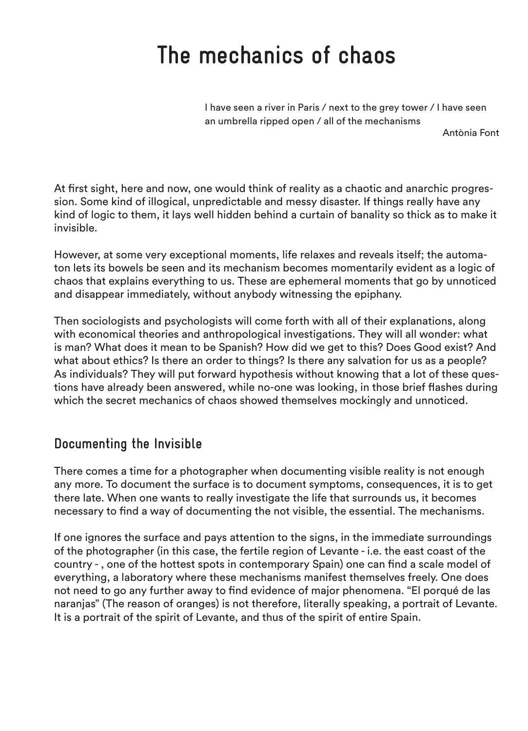### **The mechanics of chaos**

I have seen a river in Paris / next to the grey tower / I have seen an umbrella ripped open / all of the mechanisms

Antònia Font

At first sight, here and now, one would think of reality as a chaotic and anarchic progression. Some kind of illogical, unpredictable and messy disaster. If things really have any kind of logic to them, it lays well hidden behind a curtain of banality so thick as to make it invisible.

However, at some very exceptional moments, life relaxes and reveals itself; the automaton lets its bowels be seen and its mechanism becomes momentarily evident as a logic of chaos that explains everything to us. These are ephemeral moments that go by unnoticed and disappear immediately, without anybody witnessing the epiphany.

Then sociologists and psychologists will come forth with all of their explanations, along with economical theories and anthropological investigations. They will all wonder: what is man? What does it mean to be Spanish? How did we get to this? Does Good exist? And what about ethics? Is there an order to things? Is there any salvation for us as a people? As individuals? They will put forward hypothesis without knowing that a lot of these questions have already been answered, while no-one was looking, in those brief flashes during which the secret mechanics of chaos showed themselves mockingly and unnoticed.

#### **Documenting the Invisible**

There comes a time for a photographer when documenting visible reality is not enough any more. To document the surface is to document symptoms, consequences, it is to get there late. When one wants to really investigate the life that surrounds us, it becomes necessary to find a way of documenting the not visible, the essential. The mechanisms.

If one ignores the surface and pays attention to the signs, in the immediate surroundings of the photographer (in this case, the fertile region of Levante - i.e. the east coast of the country - , one of the hottest spots in contemporary Spain) one can find a scale model of everything, a laboratory where these mechanisms manifest themselves freely. One does not need to go any further away to find evidence of major phenomena. "El porqué de las naranjas" (The reason of oranges) is not therefore, literally speaking, a portrait of Levante. It is a portrait of the spirit of Levante, and thus of the spirit of entire Spain.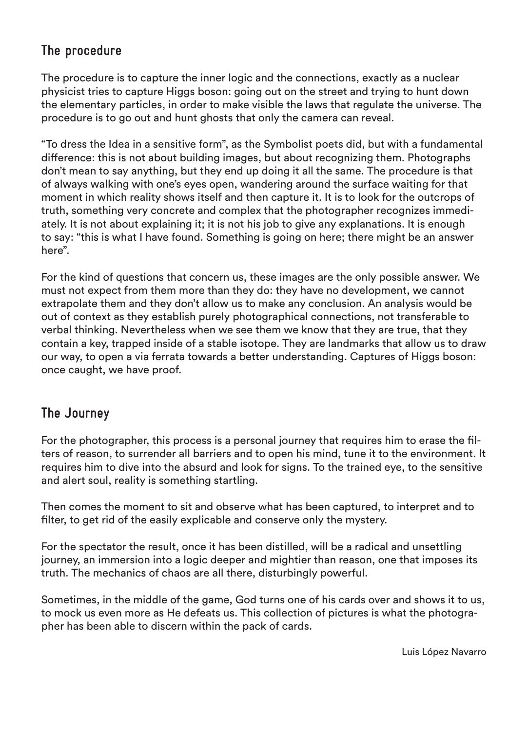#### **The procedure**

The procedure is to capture the inner logic and the connections, exactly as a nuclear physicist tries to capture Higgs boson: going out on the street and trying to hunt down the elementary particles, in order to make visible the laws that regulate the universe. The procedure is to go out and hunt ghosts that only the camera can reveal.

"To dress the Idea in a sensitive form", as the Symbolist poets did, but with a fundamental difference: this is not about building images, but about recognizing them. Photographs don't mean to say anything, but they end up doing it all the same. The procedure is that of always walking with one's eyes open, wandering around the surface waiting for that moment in which reality shows itself and then capture it. It is to look for the outcrops of truth, something very concrete and complex that the photographer recognizes immediately. It is not about explaining it; it is not his job to give any explanations. It is enough to say: "this is what I have found. Something is going on here; there might be an answer here".

For the kind of questions that concern us, these images are the only possible answer. We must not expect from them more than they do: they have no development, we cannot extrapolate them and they don't allow us to make any conclusion. An analysis would be out of context as they establish purely photographical connections, not transferable to verbal thinking. Nevertheless when we see them we know that they are true, that they contain a key, trapped inside of a stable isotope. They are landmarks that allow us to draw our way, to open a via ferrata towards a better understanding. Captures of Higgs boson: once caught, we have proof.

#### **The Journey**

For the photographer, this process is a personal journey that requires him to erase the filters of reason, to surrender all barriers and to open his mind, tune it to the environment. It requires him to dive into the absurd and look for signs. To the trained eye, to the sensitive and alert soul, reality is something startling.

Then comes the moment to sit and observe what has been captured, to interpret and to filter, to get rid of the easily explicable and conserve only the mystery.

For the spectator the result, once it has been distilled, will be a radical and unsettling journey, an immersion into a logic deeper and mightier than reason, one that imposes its truth. The mechanics of chaos are all there, disturbingly powerful.

Sometimes, in the middle of the game, God turns one of his cards over and shows it to us, to mock us even more as He defeats us. This collection of pictures is what the photographer has been able to discern within the pack of cards.